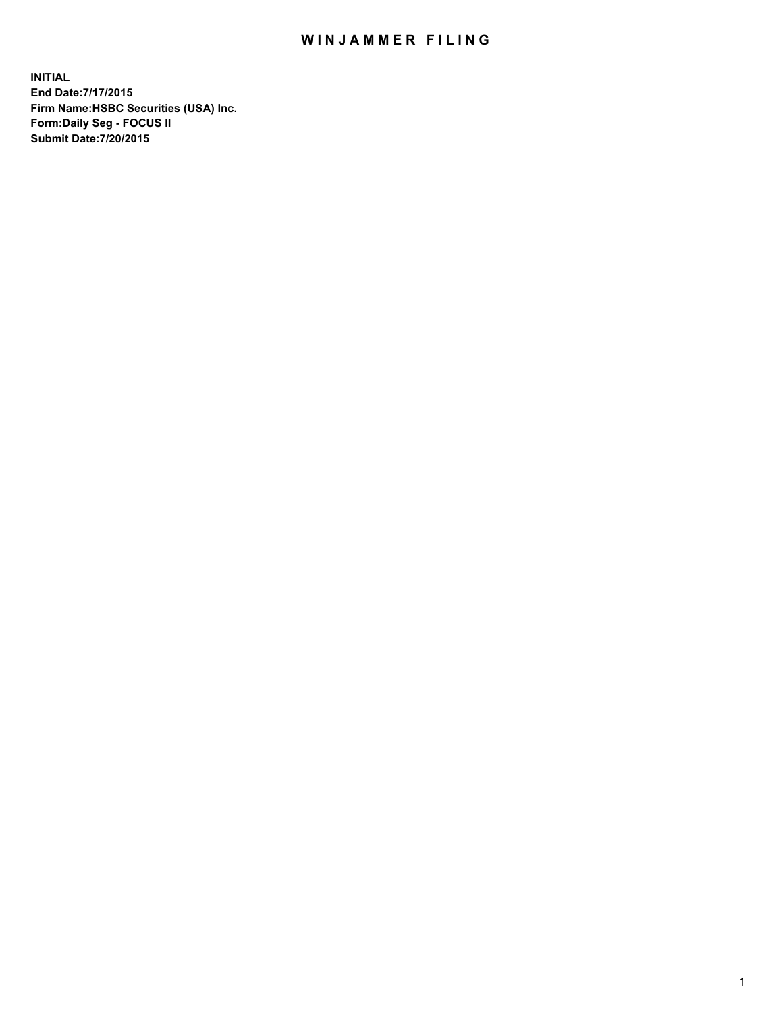## WIN JAMMER FILING

**INITIAL End Date:7/17/2015 Firm Name:HSBC Securities (USA) Inc. Form:Daily Seg - FOCUS II Submit Date:7/20/2015**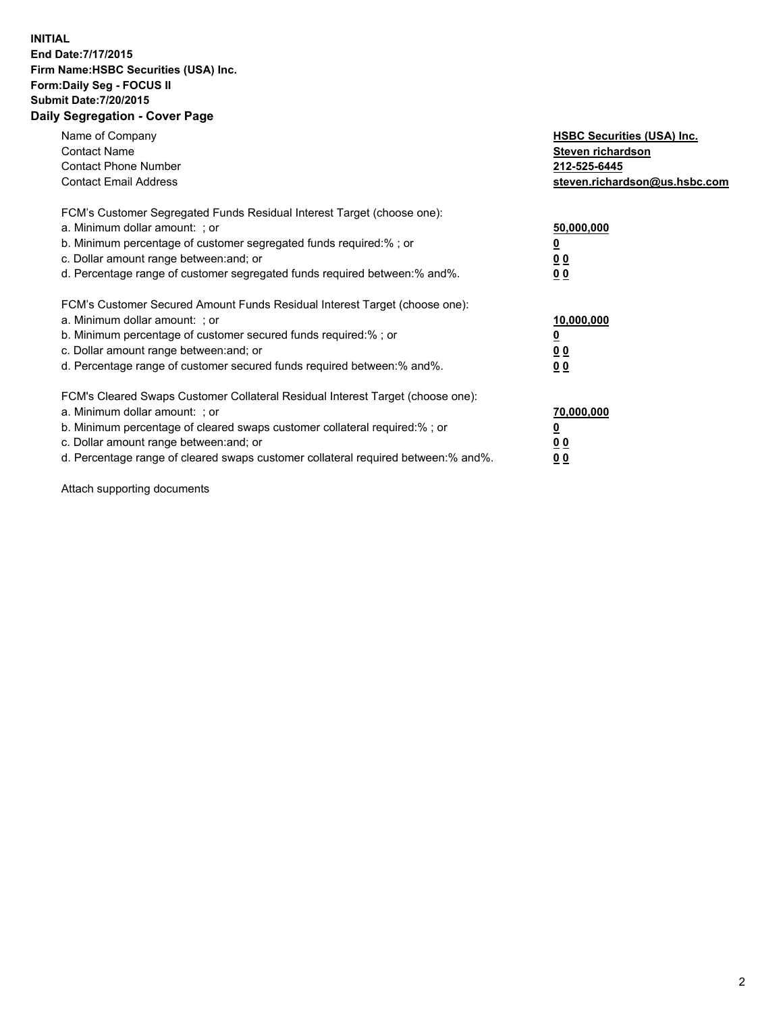## **INITIAL End Date:7/17/2015 Firm Name:HSBC Securities (USA) Inc. Form:Daily Seg - FOCUS II Submit Date:7/20/2015 Daily Segregation - Cover Page**

| Name of Company<br><b>Contact Name</b><br><b>Contact Phone Number</b><br><b>Contact Email Address</b>                                                                                                                                                                                                                         | <b>HSBC Securities (USA) Inc.</b><br>Steven richardson<br>212-525-6445<br>steven.richardson@us.hsbc.com |
|-------------------------------------------------------------------------------------------------------------------------------------------------------------------------------------------------------------------------------------------------------------------------------------------------------------------------------|---------------------------------------------------------------------------------------------------------|
| FCM's Customer Segregated Funds Residual Interest Target (choose one):<br>a. Minimum dollar amount: ; or<br>b. Minimum percentage of customer segregated funds required:% ; or<br>c. Dollar amount range between: and; or<br>d. Percentage range of customer segregated funds required between: % and %.                      | 50,000,000<br>0 <sub>0</sub><br>00                                                                      |
| FCM's Customer Secured Amount Funds Residual Interest Target (choose one):<br>a. Minimum dollar amount: ; or<br>b. Minimum percentage of customer secured funds required:%; or<br>c. Dollar amount range between: and; or<br>d. Percentage range of customer secured funds required between: % and %.                         | 10,000,000<br>00<br>00                                                                                  |
| FCM's Cleared Swaps Customer Collateral Residual Interest Target (choose one):<br>a. Minimum dollar amount: ; or<br>b. Minimum percentage of cleared swaps customer collateral required:%; or<br>c. Dollar amount range between: and; or<br>d. Percentage range of cleared swaps customer collateral required between:% and%. | 70,000,000<br>0 <sub>0</sub><br>00                                                                      |

Attach supporting documents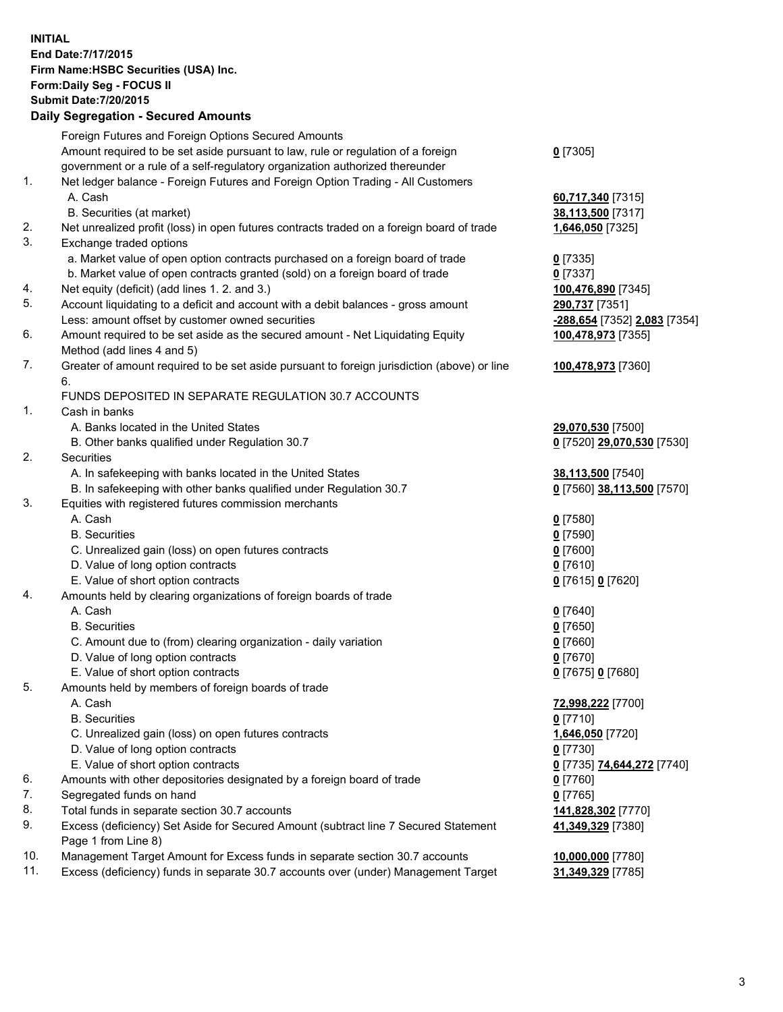**INITIAL End Date:7/17/2015 Firm Name:HSBC Securities (USA) Inc. Form:Daily Seg - FOCUS II Submit Date:7/20/2015 Daily Segregation - Secured Amounts**

|     | Foreign Futures and Foreign Options Secured Amounts                                         |                              |
|-----|---------------------------------------------------------------------------------------------|------------------------------|
|     | Amount required to be set aside pursuant to law, rule or regulation of a foreign            | $0$ [7305]                   |
|     | government or a rule of a self-regulatory organization authorized thereunder                |                              |
| 1.  | Net ledger balance - Foreign Futures and Foreign Option Trading - All Customers             |                              |
|     | A. Cash                                                                                     | 60,717,340 [7315]            |
|     | B. Securities (at market)                                                                   | 38,113,500 [7317]            |
| 2.  | Net unrealized profit (loss) in open futures contracts traded on a foreign board of trade   | 1,646,050 [7325]             |
| 3.  | Exchange traded options                                                                     |                              |
|     | a. Market value of open option contracts purchased on a foreign board of trade              | $0$ [7335]                   |
|     | b. Market value of open contracts granted (sold) on a foreign board of trade                | $0$ [7337]                   |
| 4.  | Net equity (deficit) (add lines 1.2. and 3.)                                                |                              |
|     |                                                                                             | 100,476,890 [7345]           |
| 5.  | Account liquidating to a deficit and account with a debit balances - gross amount           | 290,737 [7351]               |
|     | Less: amount offset by customer owned securities                                            | -288,654 [7352] 2,083 [7354] |
| 6.  | Amount required to be set aside as the secured amount - Net Liquidating Equity              | 100,478,973 [7355]           |
|     | Method (add lines 4 and 5)                                                                  |                              |
| 7.  | Greater of amount required to be set aside pursuant to foreign jurisdiction (above) or line | 100,478,973 [7360]           |
|     | 6.                                                                                          |                              |
|     | FUNDS DEPOSITED IN SEPARATE REGULATION 30.7 ACCOUNTS                                        |                              |
| 1.  | Cash in banks                                                                               |                              |
|     | A. Banks located in the United States                                                       | 29,070,530 [7500]            |
|     | B. Other banks qualified under Regulation 30.7                                              | 0 [7520] 29,070,530 [7530]   |
| 2.  | Securities                                                                                  |                              |
|     | A. In safekeeping with banks located in the United States                                   |                              |
|     |                                                                                             | 38,113,500 [7540]            |
|     | B. In safekeeping with other banks qualified under Regulation 30.7                          | 0 [7560] 38,113,500 [7570]   |
| 3.  | Equities with registered futures commission merchants                                       |                              |
|     | A. Cash                                                                                     | $0$ [7580]                   |
|     | <b>B.</b> Securities                                                                        | $0$ [7590]                   |
|     | C. Unrealized gain (loss) on open futures contracts                                         | $0$ [7600]                   |
|     | D. Value of long option contracts                                                           | $0$ [7610]                   |
|     | E. Value of short option contracts                                                          | 0 [7615] 0 [7620]            |
| 4.  | Amounts held by clearing organizations of foreign boards of trade                           |                              |
|     | A. Cash                                                                                     | $0$ [7640]                   |
|     | <b>B.</b> Securities                                                                        | $0$ [7650]                   |
|     | C. Amount due to (from) clearing organization - daily variation                             | $0$ [7660]                   |
|     | D. Value of long option contracts                                                           | $0$ [7670]                   |
|     | E. Value of short option contracts                                                          | 0 [7675] 0 [7680]            |
| 5.  |                                                                                             |                              |
|     | Amounts held by members of foreign boards of trade                                          |                              |
|     | A. Cash                                                                                     | 72,998,222 [7700]            |
|     | <b>B.</b> Securities                                                                        | $0$ [7710]                   |
|     | C. Unrealized gain (loss) on open futures contracts                                         | 1,646,050 [7720]             |
|     | D. Value of long option contracts                                                           | $0$ [7730]                   |
|     | E. Value of short option contracts                                                          | 0 [7735] 74,644,272 [7740]   |
| 6.  | Amounts with other depositories designated by a foreign board of trade                      | $0$ [7760]                   |
| 7.  | Segregated funds on hand                                                                    | $0$ [7765]                   |
| 8.  | Total funds in separate section 30.7 accounts                                               | 141,828,302 [7770]           |
| 9.  | Excess (deficiency) Set Aside for Secured Amount (subtract line 7 Secured Statement         | 41,349,329 [7380]            |
|     | Page 1 from Line 8)                                                                         |                              |
| 10. | Management Target Amount for Excess funds in separate section 30.7 accounts                 | 10,000,000 [7780]            |
| 11. | Excess (deficiency) funds in separate 30.7 accounts over (under) Management Target          | 31,349,329 [7785]            |
|     |                                                                                             |                              |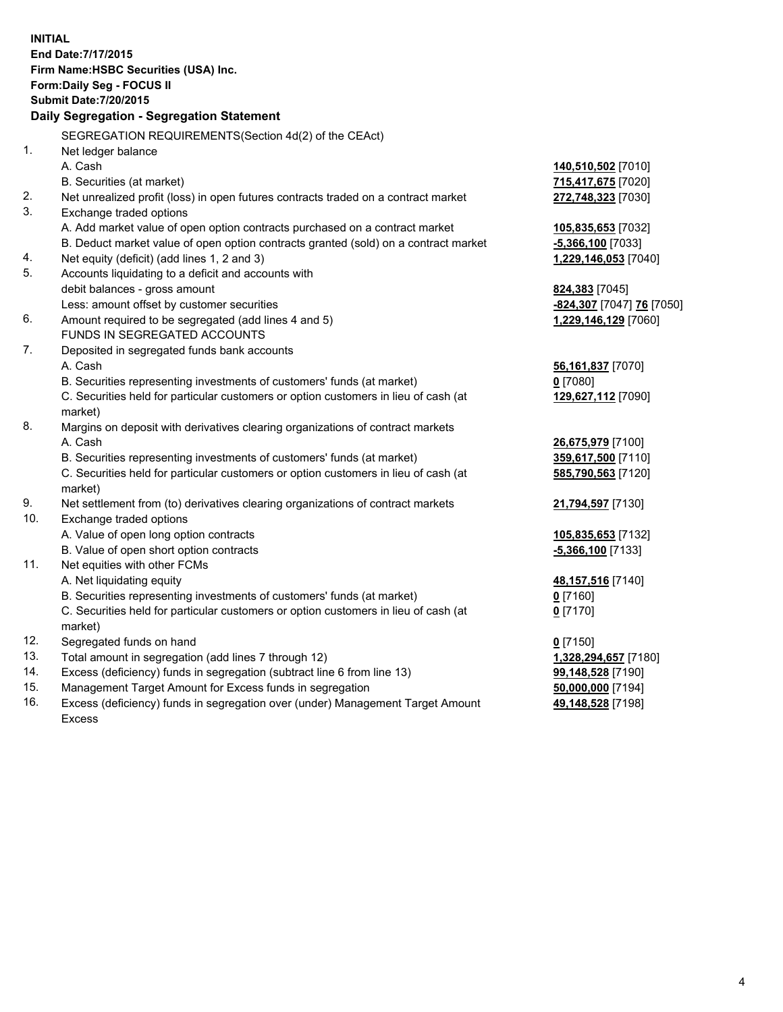| <b>INITIAL</b> | End Date: 7/17/2015<br>Firm Name: HSBC Securities (USA) Inc.<br>Form: Daily Seg - FOCUS II     |                             |
|----------------|------------------------------------------------------------------------------------------------|-----------------------------|
|                | <b>Submit Date: 7/20/2015</b>                                                                  |                             |
|                | Daily Segregation - Segregation Statement                                                      |                             |
|                | SEGREGATION REQUIREMENTS (Section 4d(2) of the CEAct)                                          |                             |
| 1.             | Net ledger balance                                                                             |                             |
|                | A. Cash                                                                                        | <u>140,510,502</u> [7010]   |
|                | B. Securities (at market)                                                                      | 715,417,675 [7020]          |
| 2.             | Net unrealized profit (loss) in open futures contracts traded on a contract market             | 272,748,323 [7030]          |
| 3.             | Exchange traded options                                                                        |                             |
|                | A. Add market value of open option contracts purchased on a contract market                    | 105,835,653 [7032]          |
|                | B. Deduct market value of open option contracts granted (sold) on a contract market            | <b>-5,366,100</b> [7033]    |
| 4.             | Net equity (deficit) (add lines 1, 2 and 3)                                                    | <u>1,229,146,053</u> [7040] |
| 5.             | Accounts liquidating to a deficit and accounts with                                            |                             |
|                | debit balances - gross amount                                                                  | <b>824,383</b> [7045]       |
|                | Less: amount offset by customer securities                                                     | -824,307 [7047] 76 [7050]   |
| 6.             | Amount required to be segregated (add lines 4 and 5)                                           | 1,229,146,129 [7060]        |
|                | FUNDS IN SEGREGATED ACCOUNTS                                                                   |                             |
| 7.             | Deposited in segregated funds bank accounts                                                    |                             |
|                | A. Cash                                                                                        | 56,161,837 [7070]           |
|                | B. Securities representing investments of customers' funds (at market)                         | $0$ [7080]                  |
|                | C. Securities held for particular customers or option customers in lieu of cash (at<br>market) | 129,627,112 [7090]          |
| 8.             | Margins on deposit with derivatives clearing organizations of contract markets                 |                             |
|                | A. Cash                                                                                        | 26,675,979 [7100]           |
|                | B. Securities representing investments of customers' funds (at market)                         | 359,617,500 [7110]          |
|                | C. Securities held for particular customers or option customers in lieu of cash (at<br>market) | 585,790,563 [7120]          |
| 9.             | Net settlement from (to) derivatives clearing organizations of contract markets                | 21,794,597 [7130]           |
| 10.            | Exchange traded options                                                                        |                             |
|                | A. Value of open long option contracts                                                         | <u>105,835,653</u> [7132]   |
|                | B. Value of open short option contracts                                                        | <u>-5,366,100</u> [7133]    |
| 11.            | Net equities with other FCMs                                                                   |                             |
|                | A. Net liquidating equity                                                                      | 48,157,516 [7140]           |
|                | B. Securities representing investments of customers' funds (at market)                         | 0 <sup>[7160]</sup>         |
|                | C. Securities held for particular customers or option customers in lieu of cash (at            | $0$ [7170]                  |
|                | market)                                                                                        |                             |
| 12.            | Segregated funds on hand                                                                       | $0$ [7150]                  |
| 13.            | Total amount in segregation (add lines 7 through 12)                                           | 1,328,294,657 [7180]        |
| 14.            | Excess (deficiency) funds in segregation (subtract line 6 from line 13)                        | 99,148,528 [7190]           |
| 15.            | Management Target Amount for Excess funds in segregation                                       | 50,000,000 [7194]           |

16. Excess (deficiency) funds in segregation over (under) Management Target Amount Excess

**49,148,528** [7198]